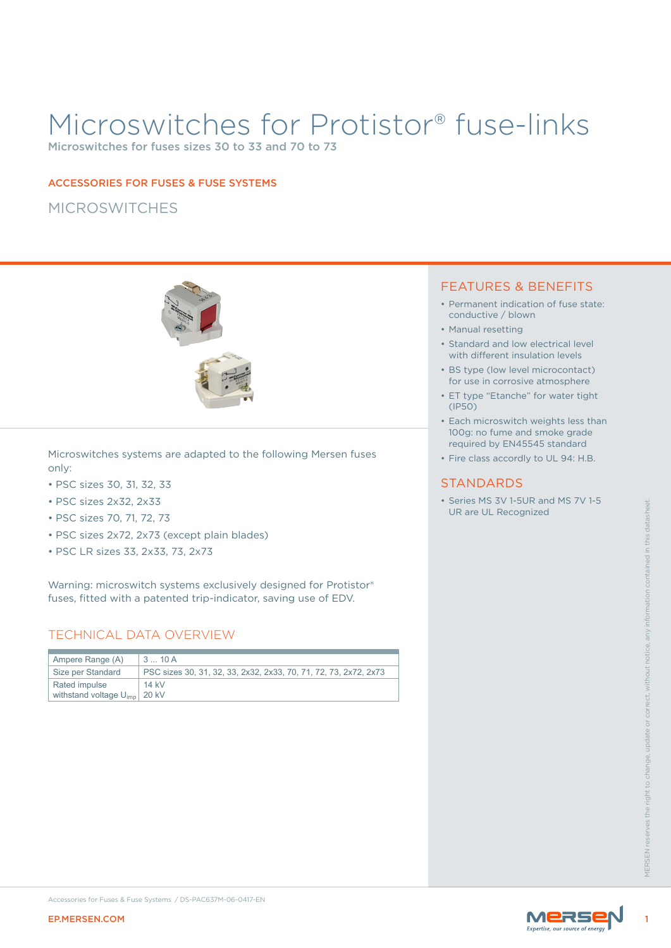# Microswitches for Protistor® fuse-links

Microswitches for fuses sizes 30 to 33 and 70 to 73

#### ACCESSORIES FOR FUSES & FUSE SYSTEMS

## **MICROSWITCHES**



Microswitches systems are adapted to the following Mersen fuses only:

- PSC sizes 30, 31, 32, 33
- PSC sizes 2x32, 2x33
- PSC sizes 70, 71, 72, 73
- PSC sizes 2x72, 2x73 (except plain blades)
- PSC LR sizes 33, 2x33, 73, 2x73

## TECHNICAL DATA OVERVIEW

| <b>EP.MERSEN.COM</b>                                | Accessories for Fuses & Fuse Systems / DS-PAC637M-06-0417-EN                                                                         | <b>MERSE</b>                       |               |
|-----------------------------------------------------|--------------------------------------------------------------------------------------------------------------------------------------|------------------------------------|---------------|
|                                                     |                                                                                                                                      |                                    | <b>NFRSFN</b> |
| Rated impulse<br>withstand voltage U <sub>imp</sub> | 14 kV<br>20 kV                                                                                                                       |                                    |               |
| Ampere Range (A)<br>Size per Standard               | 310A<br>PSC sizes 30, 31, 32, 33, 2x32, 2x33, 70, 71, 72, 73, 2x72, 2x73                                                             |                                    |               |
|                                                     | <b>TECHNICAL DATA OVERVIEW</b>                                                                                                       |                                    |               |
|                                                     | Warning: microswitch systems exclusively designed for Protistor®<br>fuses, fitted with a patented trip-indicator, saving use of EDV. |                                    |               |
| • PSC LR sizes 33, 2x33, 73, 2x73                   |                                                                                                                                      |                                    |               |
|                                                     | · PSC sizes 2x72, 2x73 (except plain blades)                                                                                         |                                    |               |
| • PSC sizes 70, 71, 72, 73                          |                                                                                                                                      | UR are UL Recognized               |               |
| $\cdot$ PSC sizes 2x32, 2x33                        |                                                                                                                                      | • Series MS 3V I-5UR and MS 7V I-5 |               |

## FEATURES & BENEFITS

- Permanent indication of fuse state: conductive / blown
- Manual resetting
- Standard and low electrical level with different insulation levels
- BS type (low level microcontact) for use in corrosive atmosphere
- ET type "Etanche" for water tight (IP50)
- Each microswitch weights less than 100g: no fume and smoke grade required by EN45545 standard
- Fire class accordly to UL 94: H.B.

#### **STANDARDS**

• Series MS 3V 1-5UR and MS 7V 1-5 UR are UL Recognized

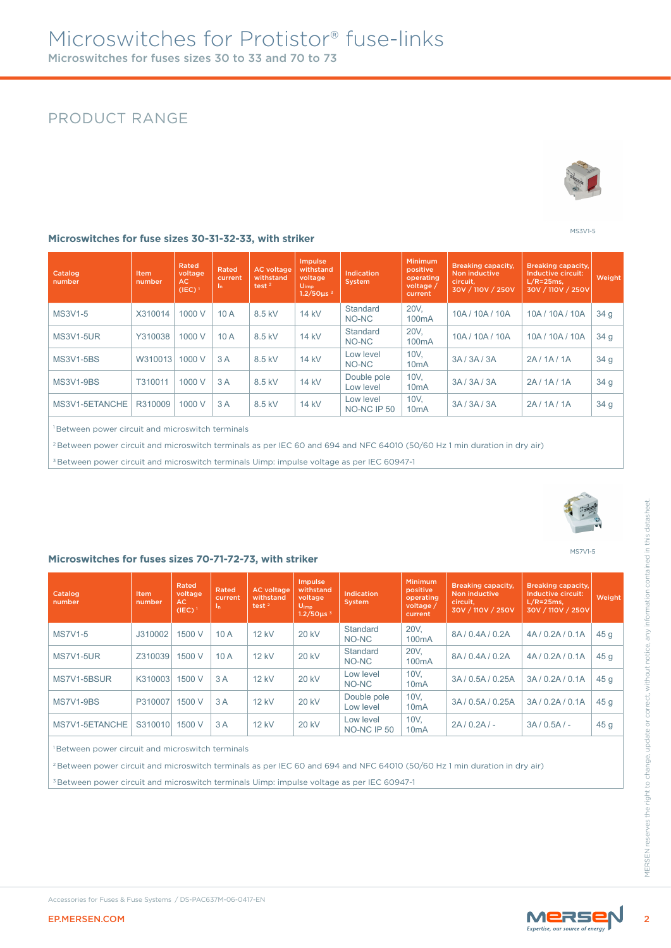# PRODUCT RANGE



#### MS3V1-5

#### **Microswitches for fuse sizes 30-31-32-33, with striker**

| Catalog<br>number | <b>Item</b><br>number | Rated<br>voltage<br>AC.<br>$(IEC)^1$ | Rated<br>current<br>In. | <b>AC</b> voltage<br>withstand<br>test $2$ | <b>Impulse</b><br>withstand<br>voltage<br>$U_{\text{imp}}$<br>$1.2/50 \mu s$ <sup>3</sup> | Indication<br><b>System</b> | <b>Minimum</b><br>positive<br>operating<br>voltage /<br>current | <b>Breaking capacity,</b><br>Non inductive<br>circuit.<br>30V / 110V / 250V | <b>Breaking capacity,</b><br>Inductive circuit:<br>$L/R = 25ms$<br>30V / 110V / 250V | Weight          |
|-------------------|-----------------------|--------------------------------------|-------------------------|--------------------------------------------|-------------------------------------------------------------------------------------------|-----------------------------|-----------------------------------------------------------------|-----------------------------------------------------------------------------|--------------------------------------------------------------------------------------|-----------------|
| MS3V1-5           | X310014               | 1000 V                               | 10A                     | 8.5 kV                                     | 14 kV                                                                                     | Standard<br>NO-NC           | 20V.<br>100 <sub>m</sub> A                                      | 10A / 10A / 10A                                                             | 10A / 10A / 10A                                                                      | 34 <sub>g</sub> |
| <b>MS3V1-5UR</b>  | Y310038               | 1000 V                               | 10A                     | 8.5 kV                                     | 14 kV                                                                                     | Standard<br>NO-NC           | 20V.<br>100 <sub>m</sub> A                                      | 10A / 10A / 10A                                                             | 10A / 10A / 10A                                                                      | 34 <sub>g</sub> |
| <b>MS3V1-5BS</b>  | W310013               | 1000 V                               | 3A                      | 8.5 kV                                     | 14 kV                                                                                     | Low level<br>NO-NC          | 10V <sub>1</sub><br>10 <sub>m</sub> A                           | 3A/3A/3A                                                                    | 2A/1A/1A                                                                             | 34 <sub>g</sub> |
| <b>MS3V1-9BS</b>  | T310011               | 1000 V                               | 3 A                     | 8.5 kV                                     | 14 kV                                                                                     | Double pole<br>Low level    | 10V.<br>10 <sub>m</sub> A                                       | 3A / 3A / 3A                                                                | 2A/1A/1A                                                                             | 34 <sub>g</sub> |
| MS3V1-5ETANCHE    | R310009               | 1000 V                               | 3A                      | 8.5 kV                                     | 14 kV                                                                                     | Low level<br>NO-NC IP 50    | 10V.<br>10 <sub>m</sub> A                                       | 3A/3A/3A                                                                    | 2A/1A/1A                                                                             | 34 <sub>g</sub> |

<sup>1</sup> Between power circuit and microswitch terminals

<sup>2</sup> Between power circuit and microswitch terminals as per IEC 60 and 694 and NFC 64010 (50/60 Hz 1 min duration in dry air)

<sup>3</sup> Between power circuit and microswitch terminals Uimp: impulse voltage as per IEC 60947-1



#### **Microswitches for fuses sizes 70-71-72-73, with striker**

| Catalog<br>number                                                                                                                                                     | Item<br>number | Rated<br>voltage<br>AC.<br>$(IEC)^T$ | Rated<br>current<br>$\mathsf{I}_{\mathsf{n}}$ | <b>AC</b> voltage<br>withstand<br>test $2$ | Impulse<br>withstand<br>voltage<br>$U_{imp}$<br>$1.2/50 \mu s^{-3}$ | <b>Indication</b><br>System | Minimum<br>positive<br>operating<br>voltage /<br>current | <b>Breaking capacity,</b><br><b>Non inductive</b><br>circuit,<br>30V / 110V / 250V                                                    | <b>Breaking capacity,</b><br>Inductive circuit:<br>$L/R = 25ms$<br>30V / 110V / 250V | Weight          |
|-----------------------------------------------------------------------------------------------------------------------------------------------------------------------|----------------|--------------------------------------|-----------------------------------------------|--------------------------------------------|---------------------------------------------------------------------|-----------------------------|----------------------------------------------------------|---------------------------------------------------------------------------------------------------------------------------------------|--------------------------------------------------------------------------------------|-----------------|
| <b>MS7V1-5</b>                                                                                                                                                        | J310002        | 1500 V                               | 10A                                           | <b>12 kV</b>                               | <b>20 kV</b>                                                        | Standard<br>NO-NC           | 20V.<br>100 <sub>m</sub> A                               | 8A/0.4A/0.2A                                                                                                                          | 4A/0.2A/0.1A                                                                         | 45 <sub>g</sub> |
| MS7V1-5UR                                                                                                                                                             | Z310039        | 1500 V                               | 10A                                           | <b>12 kV</b>                               | <b>20 kV</b>                                                        | Standard<br>NO-NC           | 20V.<br>100 <sub>m</sub> A                               | 8A/0.4A/0.2A                                                                                                                          | 4A/0.2A/0.1A                                                                         | 45 <sub>g</sub> |
| MS7V1-5BSUR                                                                                                                                                           | K310003 1500 V |                                      | 3A                                            | <b>12 kV</b>                               | <b>20 kV</b>                                                        | Low level<br>NO-NC          | 10V.<br>10 <sub>m</sub> A                                | 3A/0.5A/0.25A                                                                                                                         | 3A/0.2A/0.1A                                                                         | 45q             |
| MS7V1-9BS                                                                                                                                                             | P310007 1500 V |                                      | 3A                                            | <b>12 kV</b>                               | <b>20 kV</b>                                                        | Double pole<br>Low level    | 10V <sub>1</sub><br>10 <sub>m</sub> A                    | 3A / 0.5A / 0.25A                                                                                                                     | 3A / 0.2A / 0.1A                                                                     | 45 <sub>g</sub> |
| MS7V1-5ETANCHE                                                                                                                                                        | S310010 1500 V |                                      | 3A                                            | <b>12 kV</b>                               | <b>20 kV</b>                                                        | Low level<br>NO-NC IP 50    | 10V <sub>1</sub><br>10 <sub>m</sub> A                    | $2A / 0.2A / -$                                                                                                                       | $3A / 0.5A / -$                                                                      | 45 <sub>g</sub> |
| <sup>1</sup> Between power circuit and microswitch terminals<br><sup>3</sup> Between power circuit and microswitch terminals Uimp: impulse voltage as per IEC 60947-1 |                |                                      |                                               |                                            |                                                                     |                             |                                                          | <sup>2</sup> Between power circuit and microswitch terminals as per IEC 60 and 694 and NFC 64010 (50/60 Hz 1 min duration in dry air) |                                                                                      |                 |
|                                                                                                                                                                       |                |                                      |                                               |                                            |                                                                     |                             |                                                          |                                                                                                                                       |                                                                                      |                 |
|                                                                                                                                                                       |                |                                      |                                               |                                            |                                                                     |                             |                                                          |                                                                                                                                       |                                                                                      |                 |
|                                                                                                                                                                       |                |                                      |                                               |                                            |                                                                     |                             |                                                          |                                                                                                                                       |                                                                                      |                 |